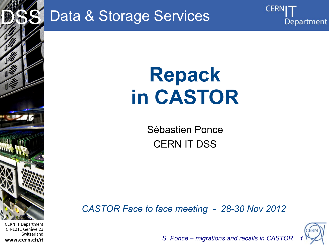

CERN IT Department CH-1211 Genève 23 Switzerland **www.cern.ch/it**

### Data & Storage Services

# **Repack in CASTOR**

Sébastien Ponce CERN IT DSS

*CASTOR Face to face meeting - 28-30 Nov 2012*



**CERN** 

Department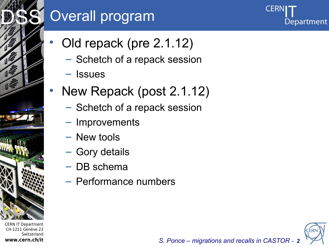### DSS<sup>S</sup> Overall program

- Old repack (pre 2.1.12)
	- Schetch of a repack session
	- Issues
- New Repack (post 2.1.12)
	- Schetch of a repack session
	- Improvements
	- New tools
	- Gory details
	- DB schema
	- Performance numbers

CERN IT Department CH-1211 Genève 23 Switzerland **www.cern.ch/it**

Internet Services of the Services



Department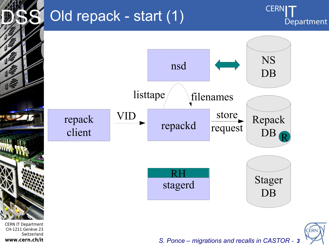

www.cern.ch/it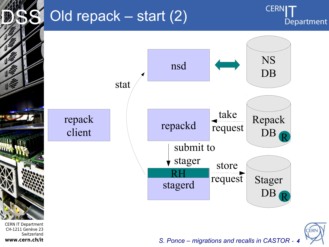## Old repack – start (2)





CERN IT Department CH-1211 Genève 23 Switzerland **www.cern.ch/it**

Internet Services of the Services

**Life** 



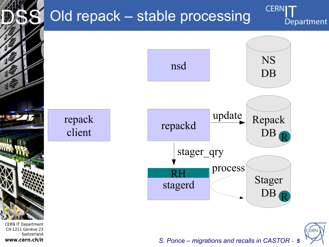## Old repack – stable processing

**CERN** Department





repack client

CERN IT Department CH-1211 Genève 23 Switzerland **www.cern.ch/it**

Internet Services of the Services

**UTT** 

DSS<sup>S</sup>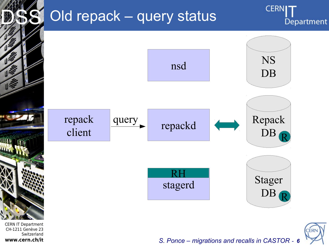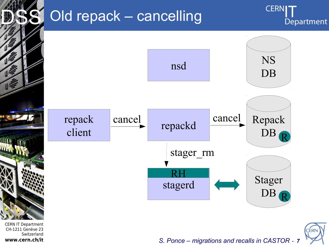

**www.cern.ch/it**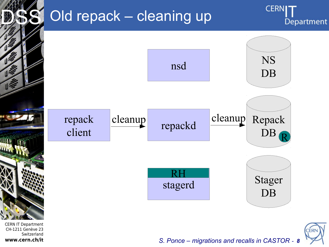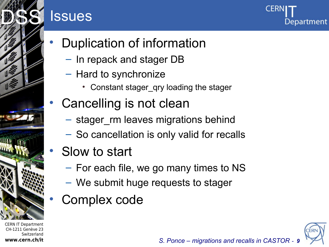### **Issues**



DSS<sup>S</sup>

- Duplication of information
	- In repack and stager DB
	- Hard to synchronize
		- Constant stager\_qry loading the stager
- Cancelling is not clean
	- stager\_rm leaves migrations behind
	- So cancellation is only valid for recalls
- Slow to start
	- For each file, we go many times to NS
	- We submit huge requests to stager
- Complex code

CERN IT Department CH-1211 Genève 23 **Switzerland www.cern.ch/it**

Internet Services of the Services

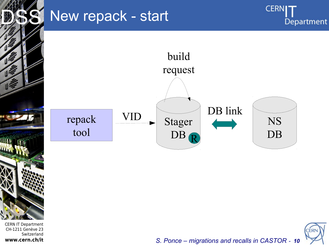

### New repack - start

**CERNI** Department





*S. Ponce – migrations and recalls in CASTOR - 10*

CERN IT Department CH-1211 Genève 23 Switzerland **www.cern.ch/it**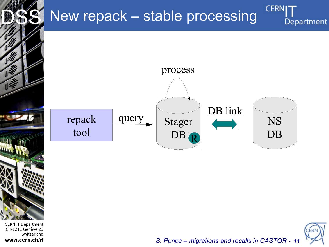### New repack – stable processing





**CERN** 

Department

*S. Ponce – migrations and recalls in CASTOR - 11*

CERN IT Department CH-1211 Genève 23 Switzerland **www.cern.ch/it**

Internet Services of the Services

**MATT** 

DSS<sup>S</sup>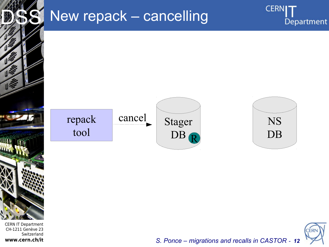

#### CERN IT Department CH-1211 Genève 23 Switzerland **www.cern.ch/it**

### New repack – cancelling





**CERNI** 

Department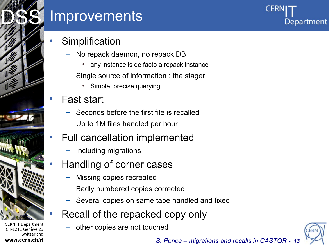

**Switzerland** 

**www.cern.ch/it**

### **Improvements**



#### **Simplification**

- No repack daemon, no repack DB
	- any instance is de facto a repack instance
- Single source of information : the stager
	- Simple, precise querying

#### • Fast start

- Seconds before the first file is recalled
- Up to 1M files handled per hour

#### Full cancellation implemented

– Including migrations

#### • Handling of corner cases

- Missing copies recreated
- Badly numbered copies corrected
- Several copies on same tape handled and fixed
- Recall of the repacked copy only
	- other copies are not touched

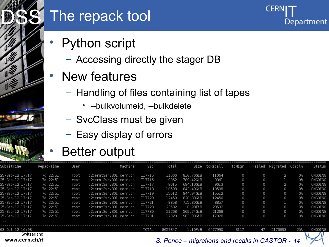

### The repack tool

- Python script
	- Accessing directly the stager DB
- New features
	- Handling of files containing list of tapes

**CER** 

Department

- --bulkvolumeid, --bulkdelete
- SvcClass must be given
- Easy display of errors

### Better output

| 25-Sep-12 17:17                                  | 7d 22:51 | root | c2cernt3srv301.cern.ch | I17715 | 11066   | 810.76GiB                                        | 11064   | Θ        | 0        | 2       | 0%  | ONGOING |
|--------------------------------------------------|----------|------|------------------------|--------|---------|--------------------------------------------------|---------|----------|----------|---------|-----|---------|
| 25-Sep-12 17:17                                  | 7d 22:51 | root | c2cernt3srv301.cern.ch | I17716 | 9362    | 789.42GiB                                        | 9361    | 0        | 0        |         | 0%  | ONGOING |
| 25-Sep-12 17:17                                  | 7d 22:51 | root | c2cernt3srv301.cern.ch | I17717 | 9615    | 684.10GiB                                        | 9613    | 0        | 0        |         | 0%  | ONGOING |
| 25-Sep-12 17:17                                  | 7d 22:51 | root | c2cernt3srv301.cern.ch | I17718 | 10598   | 843.49GiB                                        | 10598   | $\Omega$ | 0        | 0       | 0%  | ONGOING |
| 25-Sep-12 17:17                                  | 7d 22:51 | root | c2cernt3srv301.cern.ch | I17719 | 15512   | 844.94GiB                                        | 15512   | 0        | 0        | $\odot$ | 0%  | ONGOING |
| 25-Sep-12 17:17                                  | 7d 22:51 | root | c2cernt3srv301.cern.ch | I17720 | 12450   | 828.88GiB                                        | 12450   | 0        | 0        | 0       | 0%  | ONGOING |
| 25-Sep-12 17:17                                  | 7d 22:51 | root | c2cernt3srv301.cern.ch | I17721 | 8858    | 715.80GiB                                        | 8857    | 0        | 0        |         | 0%  | ONGOING |
| 25-Sep-12 17:17                                  | 7d 22:51 | root | c2cernt3srv301.cern.ch | I17728 | 23532   | 0.98TiB                                          | 23532   | $\odot$  | $\Omega$ | 0       | 0%  | ONGOING |
| 25-Sep-12 17:17                                  | 7d 22:51 | root | c2cernt3srv301.cern.ch | I17730 | 21268   | 569.74GiB                                        | 21268   | 0        | 0        | $\odot$ | 0%  | ONGOING |
| 25-Sep-12 17:17<br>$\mathbf{r}$ and $\mathbf{r}$ | 7d 22:51 | root | c2cernt3srv301.cern.ch | 117731 | 17028   | 983.08GiB                                        | 17028   |          | 0        | 0       | 0%  | ONGOING |
| 03-Oct-12 16:08                                  |          |      | ı                      | TOTAL  | 8657847 | $1.10P$ iB                                       | 6477990 | 3117     | 47       | 2176693 | 25% | ONGOING |
| Switzerland<br>www.cern.ch/it                    |          |      |                        |        |         | S. Ponce – migrations and recalls in CASTOR - 14 |         |          |          |         |     |         |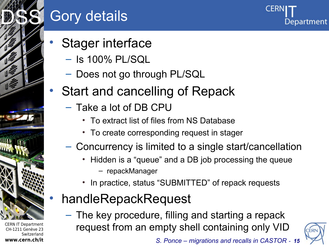

## Gory details

- Stager interface
	- Is 100% PL/SQL
	- Does not go through PL/SQL
- Start and cancelling of Repack
	- Take a lot of DB CPU
		- To extract list of files from NS Database
		- To create corresponding request in stager
	- Concurrency is limited to a single start/cancellation
		- Hidden is a "queue" and a DB job processing the queue – repackManager
		- In practice, status "SUBMITTED" of repack requests
- handleRepackRequest
	- The key procedure, filling and starting a repack request from an empty shell containing only VID



Department

CERN IT Department CH-1211 Genève 23 Switzerland **www.cern.ch/it**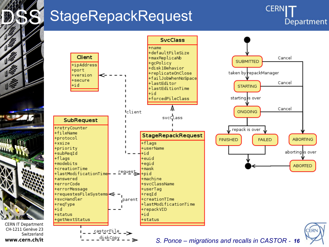

#### **CERN IT Department** CH-1211 Genève 23 Switzerland www.cern.ch/it

### StageRepackRequest

**CERN** Department

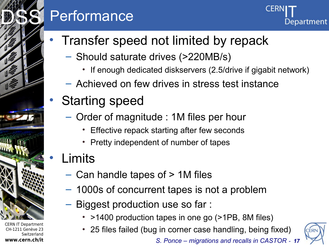## **Performance**



- Transfer speed not limited by repack
	- Should saturate drives (>220MB/s)
		- If enough dedicated diskservers (2.5/drive if gigabit network)
	- Achieved on few drives in stress test instance
- Starting speed
	- Order of magnitude : 1M files per hour
		- Effective repack starting after few seconds
		- Pretty independent of number of tapes

### **Limits**

CERN IT Department CH-1211 Genève 23

Internet Services of the Services

DSS<sup>S</sup>

**www.cern.ch/it**

Switzerland

- Can handle tapes of > 1M files
- 1000s of concurrent tapes is not a problem
- Biggest production use so far :
	- >1400 production tapes in one go (>1PB, 8M files)
	- 25 files failed (bug in corner case handling, being fixed)